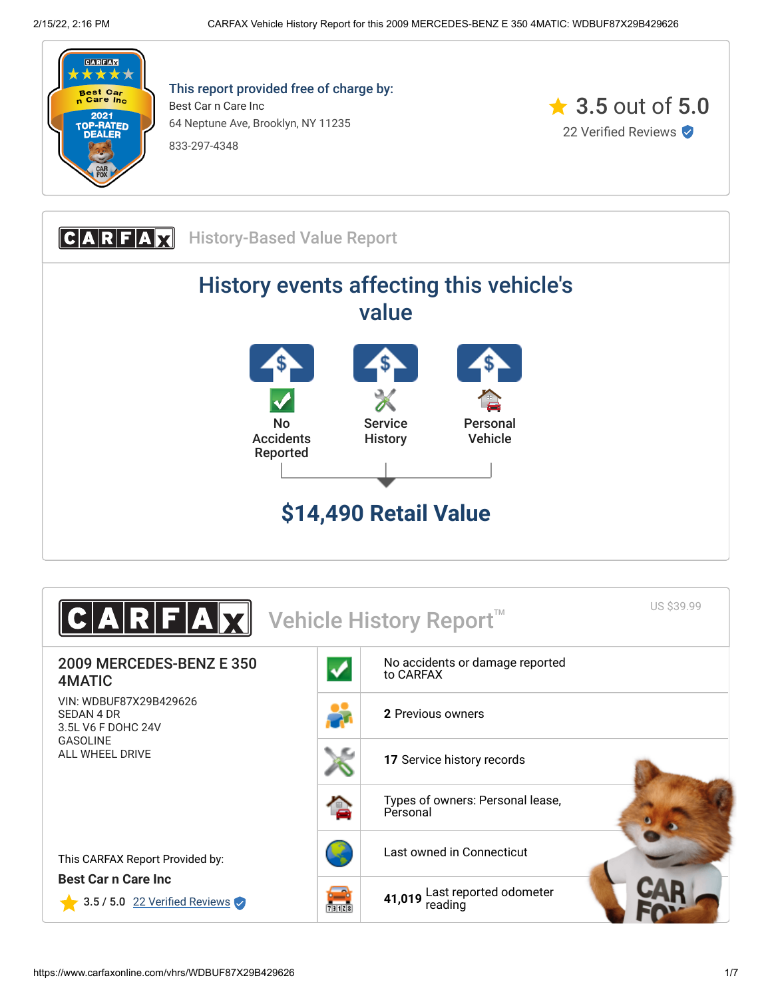

This report provided free of charge by: Best Car n Care Inc 64 Neptune Ave, Brooklyn, NY 11235 833-297-4348



**CARFAX** History-Based Value Report History events affecting this vehicle's value No Accidents Reported Service **History** Personal Vehicle **\$14,490 Retail Value**

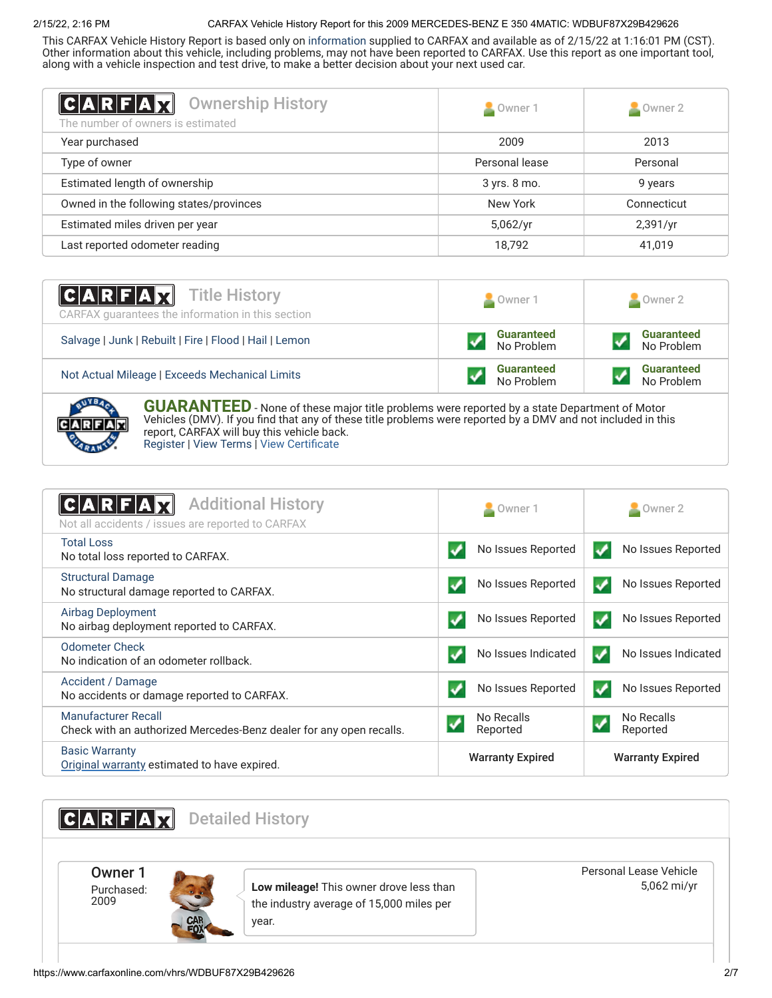## 2/15/22, 2:16 PM CARFAX Vehicle History Report for this 2009 MERCEDES-BENZ E 350 4MATIC: WDBUF87X29B429626

This CARFAX Vehicle History Report is based only on [information](http://www.carfax.com/company/vhr-data-sources) supplied to CARFAX and available as of 2/15/22 at 1:16:01 PM (CST). Other information about this vehicle, including problems, may not have been reported to CARFAX. Use this report as one important tool, along with a vehicle inspection and test drive, to make a better decision about your next used car.

<span id="page-1-1"></span>

| <b>Ownership History</b><br> C A R F A Z<br>The number of owners is estimated | Owner 1        | $\triangle$ Owner 2 |
|-------------------------------------------------------------------------------|----------------|---------------------|
| Year purchased                                                                | 2009           | 2013                |
| Type of owner                                                                 | Personal lease | Personal            |
| Estimated length of ownership                                                 | 3 yrs. 8 mo.   | 9 years             |
| Owned in the following states/provinces                                       | New York       | Connecticut         |
| Estimated miles driven per year                                               | 5,062/yr       | 2,391/yr            |
| Last reported odometer reading                                                | 18,792         | 41,019              |

| <b>CARFAX</b> Title History<br>CARFAX guarantees the information in this section | Owner 1                         | Owner 2                         |
|----------------------------------------------------------------------------------|---------------------------------|---------------------------------|
| Salvage   Junk   Rebuilt   Fire   Flood   Hail   Lemon                           | <b>Guaranteed</b><br>No Problem | <b>Guaranteed</b><br>No Problem |
| Not Actual Mileage   Exceeds Mechanical Limits                                   | <b>Guaranteed</b><br>No Problem | <b>Guaranteed</b><br>No Problem |
|                                                                                  |                                 |                                 |



**GUARANTEED** - None of these major title problems were reported by a state Department of Motor Vehicles (DMV). If you find that any of these title problems were reported by a DMV and not included in this report, CARFAX will buy this vehicle back. [Register](https://www.carfax.com/Service/bbg) | [View Terms](http://www.carfaxonline.com/legal/bbgTerms) | [View Certificate](https://www.carfaxonline.com/vhrs/WDBUF87X29B429626)

<span id="page-1-0"></span>

| <b>Additional History</b><br>CARFA<br>Not all accidents / issues are reported to CARFAX           | Owner 1                 | $\blacksquare$ Owner 2                 |
|---------------------------------------------------------------------------------------------------|-------------------------|----------------------------------------|
| <b>Total Loss</b><br>No total loss reported to CARFAX.                                            | No Issues Reported      | No Issues Reported<br>✓                |
| <b>Structural Damage</b><br>No structural damage reported to CARFAX.                              | No Issues Reported      | No Issues Reported                     |
| <b>Airbag Deployment</b><br>No airbag deployment reported to CARFAX.                              | No Issues Reported      | No Issues Reported<br>✔                |
| <b>Odometer Check</b><br>No indication of an odometer rollback.                                   | No Issues Indicated     | No Issues Indicated<br>✔               |
| Accident / Damage<br>No accidents or damage reported to CARFAX.                                   | No Issues Reported      | No Issues Reported<br>✔                |
| <b>Manufacturer Recall</b><br>Check with an authorized Mercedes-Benz dealer for any open recalls. | No Recalls<br>Reported  | No Recalls<br>$\checkmark$<br>Reported |
| <b>Basic Warranty</b><br>Original warranty estimated to have expired.                             | <b>Warranty Expired</b> | <b>Warranty Expired</b>                |

<span id="page-1-2"></span>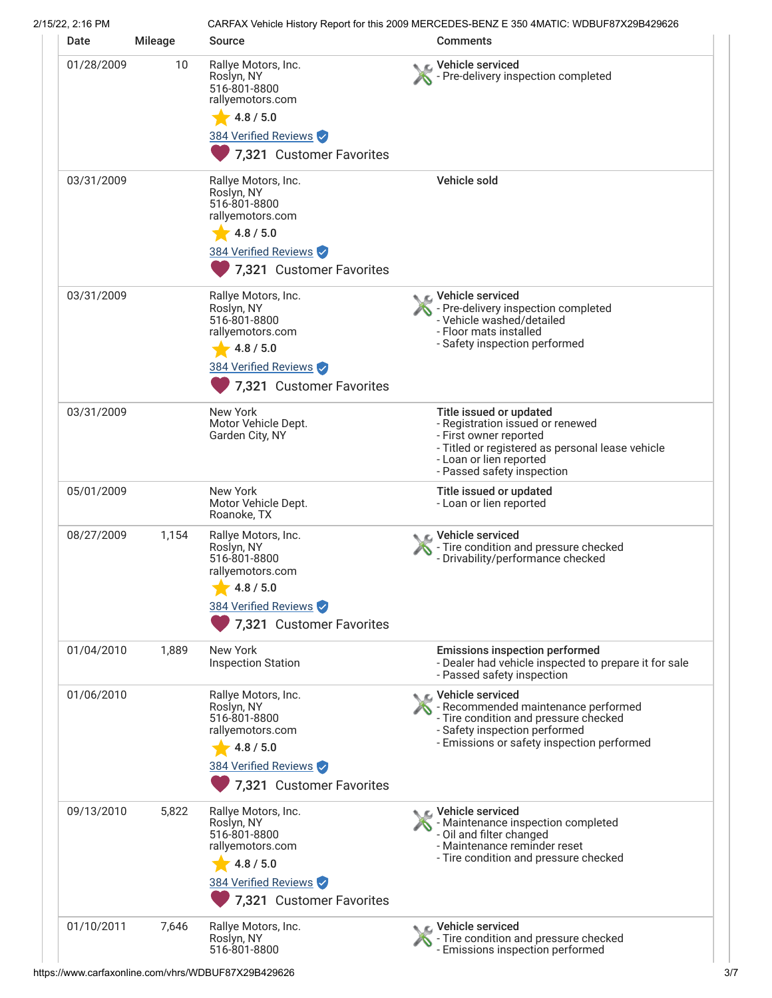| 2/15/22, 2:16 PM |         | CARFAX Vehicle History Report for this 2009 MERCEDES-BENZ E 350 4MATIC: WDBUF87X29B429626                                               |                                                                                                                                                                                                    |
|------------------|---------|-----------------------------------------------------------------------------------------------------------------------------------------|----------------------------------------------------------------------------------------------------------------------------------------------------------------------------------------------------|
| Date             | Mileage | <b>Source</b>                                                                                                                           | <b>Comments</b>                                                                                                                                                                                    |
| 01/28/2009       | 10      | Rallye Motors, Inc.<br>Roslyn, NY<br>516-801-8800<br>rallyemotors.com<br>4.8 / 5.0<br>384 Verified Reviews<br>7,321 Customer Favorites  | Vehicle serviced<br>Pre-delivery inspection completed                                                                                                                                              |
| 03/31/2009       |         | Rallye Motors, Inc.<br>Roslyn, NY<br>516-801-8800<br>rallyemotors.com<br>4.8 / 5.0<br>384 Verified Reviews<br>7,321 Customer Favorites  | Vehicle sold                                                                                                                                                                                       |
| 03/31/2009       |         | Rallye Motors, Inc.<br>Roslyn, NY<br>516-801-8800<br>rallyemotors.com<br>4.8 / 5.0<br>384 Verified Reviews<br>7,321 Customer Favorites  | C Vehicle serviced<br>- Pre-delivery inspection completed<br>- Vehicle washed/detailed<br>- Floor mats installed<br>- Safety inspection performed                                                  |
| 03/31/2009       |         | New York<br>Motor Vehicle Dept.<br>Garden City, NY                                                                                      | Title issued or updated<br>- Registration issued or renewed<br>- First owner reported<br>- Titled or registered as personal lease vehicle<br>- Loan or lien reported<br>- Passed safety inspection |
| 05/01/2009       |         | New York<br>Motor Vehicle Dept.<br>Roanoke, TX                                                                                          | Title issued or updated<br>- Loan or lien reported                                                                                                                                                 |
| 08/27/2009       | 1,154   | Rallye Motors, Inc.<br>Roslyn, NY<br>516-801-8800<br>rallyemotors.com<br>4.8 / 5.0<br>384 Verified Reviews<br>7,321 Customer Favorites  | ic⊾ Vehicle serviced<br>- Tire condition and pressure checked<br>- Drivability/performance checked                                                                                                 |
| 01/04/2010       | 1,889   | New York<br><b>Inspection Station</b>                                                                                                   | <b>Emissions inspection performed</b><br>- Dealer had vehicle inspected to prepare it for sale<br>- Passed safety inspection                                                                       |
| 01/06/2010       |         | Rallye Motors, Inc.<br>Roslyn, NY<br>516-801-8800<br>rallyemotors.com<br>4.8 / 5.0<br>384 Verified Reviews<br>7,321 Customer Favorites  | ⊾ Vehicle serviced<br>- Recommended maintenance performed<br>- Tire condition and pressure checked<br>- Safety inspection performed<br>- Emissions or safety inspection performed                  |
| 09/13/2010       | 5,822   | Rallye Motors, Inc.<br>Roslyn, NY<br>516-801-8800<br>rallyemotors.com<br>$-4.8/5.0$<br>384 Verified Reviews<br>7,321 Customer Favorites | $\mathcal{L}$ Vehicle serviced<br>- Maintenance inspection completed<br>- Oil and filter changed<br>- Maintenance reminder reset<br>- Tire condition and pressure checked                          |
| 01/10/2011       | 7,646   | Rallye Motors, Inc.<br>Roslyn, NY<br>516-801-8800                                                                                       | C Vehicle serviced<br>- Tire condition and pressure checked<br>- Emissions inspection performed                                                                                                    |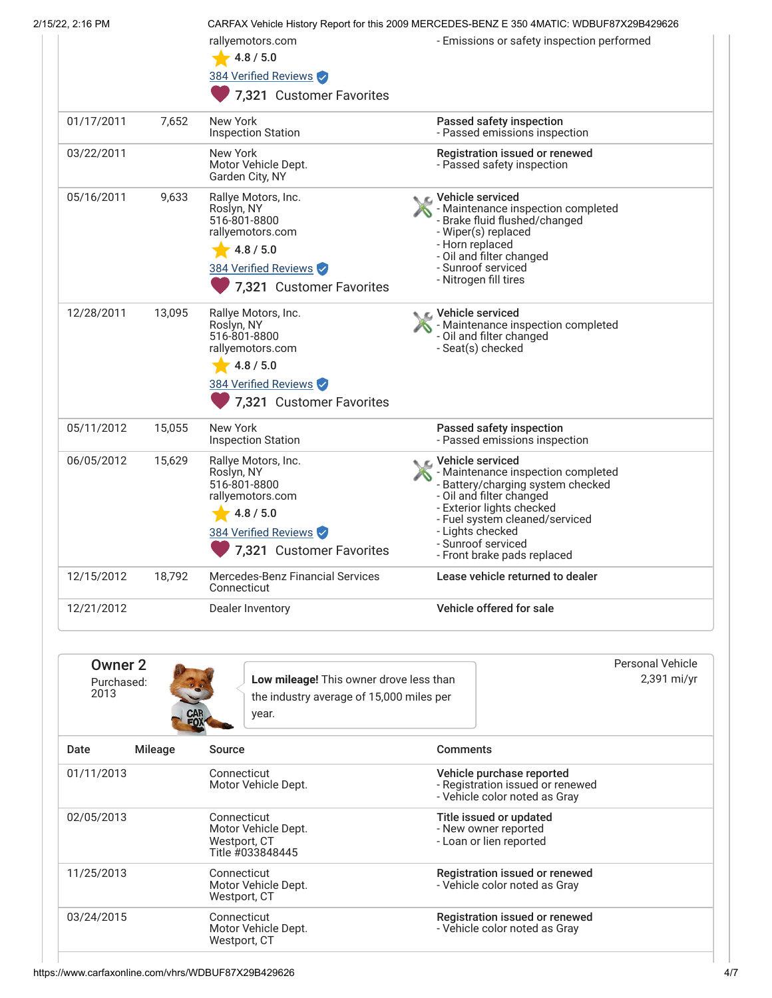| 2/15/22, 2:16 PM |        | rallyemotors.com<br>4.8 / 5.0<br>384 Verified Reviews<br>7,321 Customer Favorites                                                      | CARFAX Vehicle History Report for this 2009 MERCEDES-BENZ E 350 4MATIC: WDBUF87X29B429626<br>- Emissions or safety inspection performed                                                                                                                         |
|------------------|--------|----------------------------------------------------------------------------------------------------------------------------------------|-----------------------------------------------------------------------------------------------------------------------------------------------------------------------------------------------------------------------------------------------------------------|
| 01/17/2011       | 7,652  | <b>New York</b><br><b>Inspection Station</b>                                                                                           | Passed safety inspection<br>- Passed emissions inspection                                                                                                                                                                                                       |
| 03/22/2011       |        | New York<br>Motor Vehicle Dept.<br>Garden City, NY                                                                                     | Registration issued or renewed<br>- Passed safety inspection                                                                                                                                                                                                    |
| 05/16/2011       | 9,633  | Rallye Motors, Inc.<br>Roslyn, NY<br>516-801-8800<br>rallyemotors.com<br>4.8 / 5.0<br>384 Verified Reviews<br>7,321 Customer Favorites | C Vehicle serviced<br>- Maintenance inspection completed<br>- Brake fluid flushed/changed<br>- Wiper(s) replaced<br>- Horn replaced<br>- Oil and filter changed<br>- Sunroof serviced<br>- Nitrogen fill tires                                                  |
| 12/28/2011       | 13,095 | Rallye Motors, Inc.<br>Roslyn, NY<br>516-801-8800<br>rallyemotors.com<br>4.8 / 5.0<br>384 Verified Reviews<br>7,321 Customer Favorites | Vehicle serviced<br>- Maintenance inspection completed<br>- Oil and filter changed<br>- Seat(s) checked                                                                                                                                                         |
| 05/11/2012       | 15,055 | <b>New York</b><br><b>Inspection Station</b>                                                                                           | Passed safety inspection<br>- Passed emissions inspection                                                                                                                                                                                                       |
| 06/05/2012       | 15,629 | Rallye Motors, Inc.<br>Roslyn, NY<br>516-801-8800<br>rallyemotors.com<br>4.8 / 5.0<br>384 Verified Reviews<br>7,321 Customer Favorites | Vehicle serviced<br>- Maintenance inspection completed<br>- Battery/charging system checked<br>- Oil and filter changed<br>- Exterior lights checked<br>- Fuel system cleaned/serviced<br>- Liahts checked<br>- Sunroof serviced<br>- Front brake pads replaced |
| 12/15/2012       | 18,792 | <b>Mercedes-Benz Financial Services</b><br>Connecticut                                                                                 | Lease vehicle returned to dealer                                                                                                                                                                                                                                |
| 12/21/2012       |        | Dealer Inventory                                                                                                                       | Vehicle offered for sale                                                                                                                                                                                                                                        |

| Owner 2<br>Purchased:<br>2013 | Low mileage! This owner drove less than<br>the industry average of 15,000 miles per<br><b>CAR</b><br>year. | Personal Vehicle<br>2,391 mi/yr                                                                |
|-------------------------------|------------------------------------------------------------------------------------------------------------|------------------------------------------------------------------------------------------------|
| Date<br>Mileage               | Source                                                                                                     | <b>Comments</b>                                                                                |
| 01/11/2013                    | Connecticut<br>Motor Vehicle Dept.                                                                         | Vehicle purchase reported<br>- Registration issued or renewed<br>- Vehicle color noted as Gray |
| 02/05/2013                    | Connecticut<br>Motor Vehicle Dept.<br>Westport, CT<br>Title #033848445                                     | Title issued or updated<br>- New owner reported<br>- Loan or lien reported                     |
| 11/25/2013                    | Connecticut<br>Motor Vehicle Dept.<br>Westport, CT                                                         | Registration issued or renewed<br>- Vehicle color noted as Gray                                |
| 03/24/2015                    | Connecticut<br>Motor Vehicle Dept.<br>Westport, CT                                                         | Registration issued or renewed<br>- Vehicle color noted as Gray                                |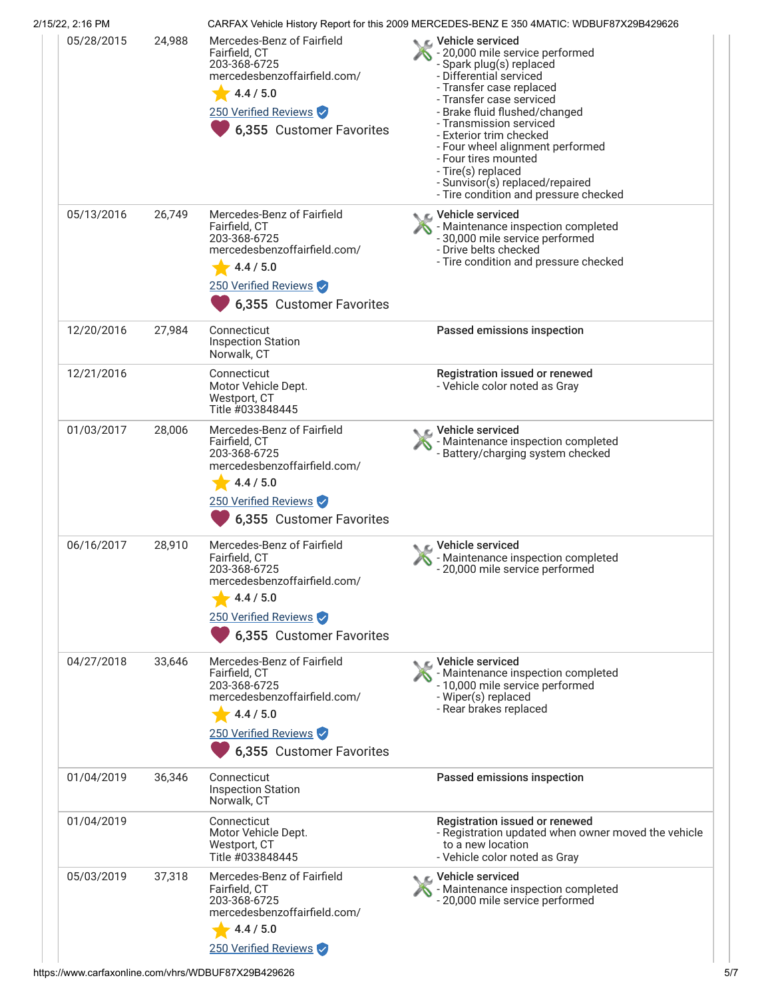| 2/15/22, 2:16 PM |        |                                                                                                                                                              | CARFAX Vehicle History Report for this 2009 MERCEDES-BENZ E 350 4MATIC: WDBUF87X29B429626                                                                                                                                                                                                                                                                                                                                         |
|------------------|--------|--------------------------------------------------------------------------------------------------------------------------------------------------------------|-----------------------------------------------------------------------------------------------------------------------------------------------------------------------------------------------------------------------------------------------------------------------------------------------------------------------------------------------------------------------------------------------------------------------------------|
| 05/28/2015       | 24,988 | Mercedes-Benz of Fairfield<br>Fairfield, CT<br>203-368-6725<br>mercedesbenzoffairfield.com/<br>4.4 / 5.0<br>250 Verified Reviews<br>6,355 Customer Favorites | <b>NE</b> Vehicle serviced<br>- 20,000 mile service performed<br>- Spark plug(s) replaced<br>- Differential serviced<br>- Transfer case replaced<br>- Transfer case serviced<br>- Brake fluid flushed/changed<br>- Transmission serviced<br>- Exterior trim checked<br>- Four wheel alignment performed<br>- Four tires mounted<br>- Tire(s) replaced<br>- Sunvisor(s) replaced/repaired<br>- Tire condition and pressure checked |
| 05/13/2016       | 26,749 | Mercedes-Benz of Fairfield<br>Fairfield, CT<br>203-368-6725<br>mercedesbenzoffairfield.com/<br>4.4 / 5.0<br>250 Verified Reviews<br>6,355 Customer Favorites | Vehicle serviced<br>- Maintenance inspection completed<br>- 30,000 mile service performed<br>- Drive belts checked<br>- Tire condition and pressure checked                                                                                                                                                                                                                                                                       |
| 12/20/2016       | 27,984 | Connecticut<br><b>Inspection Station</b><br>Norwalk, CT                                                                                                      | Passed emissions inspection                                                                                                                                                                                                                                                                                                                                                                                                       |
| 12/21/2016       |        | Connecticut<br>Motor Vehicle Dept.<br>Westport, CT<br>Title #033848445                                                                                       | Registration issued or renewed<br>- Vehicle color noted as Gray                                                                                                                                                                                                                                                                                                                                                                   |
| 01/03/2017       | 28,006 | Mercedes-Benz of Fairfield<br>Fairfield, CT<br>203-368-6725<br>mercedesbenzoffairfield.com/<br>4.4 / 5.0<br>250 Verified Reviews<br>6,355 Customer Favorites | Vehicle serviced<br>- Maintenance inspection completed<br>- Battery/charging system checked                                                                                                                                                                                                                                                                                                                                       |
| 06/16/2017       | 28,910 | Mercedes-Benz of Fairfield<br>Fairfield, CT<br>203-368-6725<br>mercedesbenzoffairfield.com/<br>4.4 / 5.0<br>250 Verified Reviews<br>6,355 Customer Favorites | C Vehicle serviced<br>- Maintenance inspection completed<br>- 20,000 mile service performed                                                                                                                                                                                                                                                                                                                                       |
| 04/27/2018       | 33,646 | Mercedes-Benz of Fairfield<br>Fairfield, CT<br>203-368-6725<br>mercedesbenzoffairfield.com/<br>4.4 / 5.0<br>250 Verified Reviews<br>6,355 Customer Favorites | C Vehicle serviced<br>- Maintenance inspection completed<br>- 10,000 mile service performed<br>- Wiper(s) replaced<br>- Rear brakes replaced                                                                                                                                                                                                                                                                                      |
| 01/04/2019       | 36,346 | Connecticut<br><b>Inspection Station</b><br>Norwalk, CT                                                                                                      | Passed emissions inspection                                                                                                                                                                                                                                                                                                                                                                                                       |
| 01/04/2019       |        | Connecticut<br>Motor Vehicle Dept.<br>Westport, CT<br>Title #033848445                                                                                       | Registration issued or renewed<br>- Registration updated when owner moved the vehicle<br>to a new location<br>- Vehicle color noted as Gray                                                                                                                                                                                                                                                                                       |
| 05/03/2019       | 37,318 | Mercedes-Benz of Fairfield<br>Fairfield, CT<br>203-368-6725<br>mercedesbenzoffairfield.com/<br>4.4 / 5.0<br>250 Verified Reviews                             | Vehicle serviced<br>- Maintenance inspection completed<br>- 20,000 mile service performed                                                                                                                                                                                                                                                                                                                                         |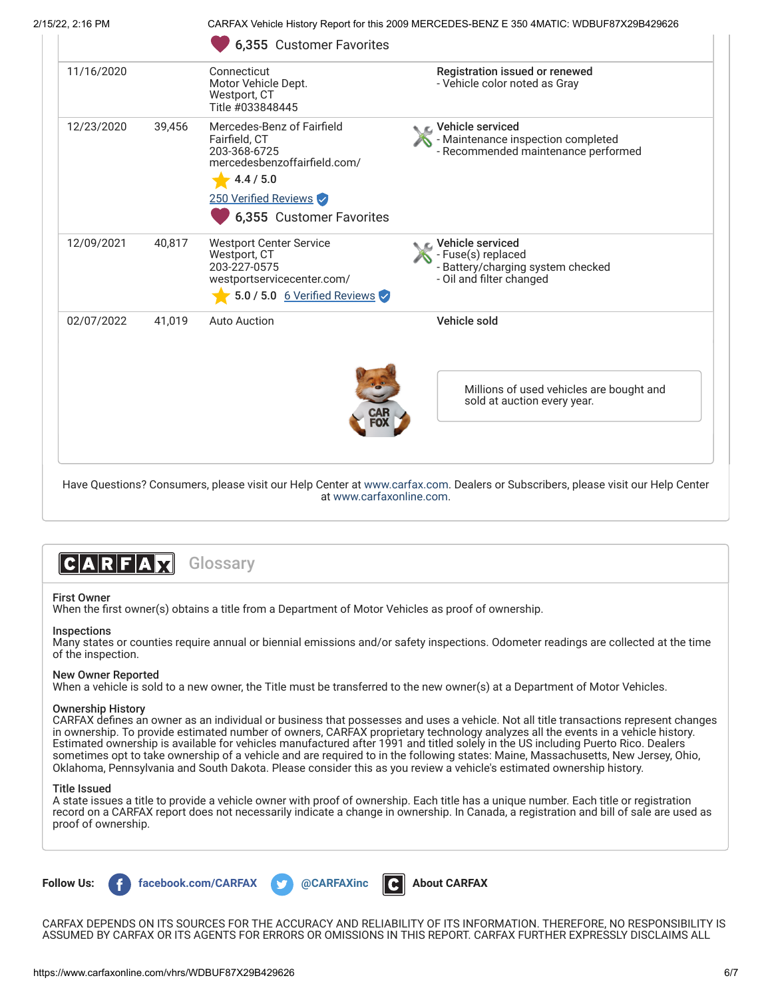| 2/15/22, 2:16 PM |        | CARFAX Vehicle History Report for this 2009 MERCEDES-BENZ E 350 4MATIC: WDBUF87X29B429626                                                                     |                                                                                                            |  |
|------------------|--------|---------------------------------------------------------------------------------------------------------------------------------------------------------------|------------------------------------------------------------------------------------------------------------|--|
|                  |        | 6,355 Customer Favorites                                                                                                                                      |                                                                                                            |  |
| 11/16/2020       |        | Connecticut<br>Motor Vehicle Dept.<br>Westport, CT<br>Title #033848445                                                                                        | Registration issued or renewed<br>- Vehicle color noted as Gray                                            |  |
| 12/23/2020       | 39,456 | Mercedes-Benz of Fairfield<br>Fairfield, CT<br>203-368-6725<br>mercedesbenzoffairfield.com/<br>$-4.4/5.0$<br>250 Verified Reviews<br>6,355 Customer Favorites | <b>NE</b> Vehicle serviced<br>- Maintenance inspection completed<br>- Recommended maintenance performed    |  |
| 12/09/2021       | 40,817 | <b>Westport Center Service</b><br>Westport, CT<br>203-227-0575<br>westportservicecenter.com/<br>5.0 / 5.0 $6$ Verified Reviews                                | r⊾ Vehicle serviced<br>- Fuse(s) replaced<br>- Battery/charging system checked<br>- Oil and filter changed |  |
| 02/07/2022       | 41.019 | <b>Auto Auction</b>                                                                                                                                           | Vehicle sold                                                                                               |  |
|                  |        |                                                                                                                                                               | Millions of used vehicles are bought and<br>sold at auction every year.                                    |  |



### First Owner

When the first owner(s) obtains a title from a Department of Motor Vehicles as proof of ownership.

#### Inspections

Many states or counties require annual or biennial emissions and/or safety inspections. Odometer readings are collected at the time of the inspection.

at [www.carfaxonline.com.](http://www.carfaxonline.com/)

### New Owner Reported

When a vehicle is sold to a new owner, the Title must be transferred to the new owner(s) at a Department of Motor Vehicles.

#### Ownership History

CARFAX defines an owner as an individual or business that possesses and uses a vehicle. Not all title transactions represent changes in ownership. To provide estimated number of owners, CARFAX proprietary technology analyzes all the events in a vehicle history. Estimated ownership is available for vehicles manufactured after 1991 and titled solely in the US including Puerto Rico. Dealers sometimes opt to take ownership of a vehicle and are required to in the following states: Maine, Massachusetts, New Jersey, Ohio, Oklahoma, Pennsylvania and South Dakota. Please consider this as you review a vehicle's estimated ownership history.

#### Title Issued

A state issues a title to provide a vehicle owner with proof of ownership. Each title has a unique number. Each title or registration record on a CARFAX report does not necessarily indicate a change in ownership. In Canada, a registration and bill of sale are used as proof of ownership.



CARFAX DEPENDS ON ITS SOURCES FOR THE ACCURACY AND RELIABILITY OF ITS INFORMATION. THEREFORE, NO RESPONSIBILITY IS ASSUMED BY CARFAX OR ITS AGENTS FOR ERRORS OR OMISSIONS IN THIS REPORT. CARFAX FURTHER EXPRESSLY DISCLAIMS ALL